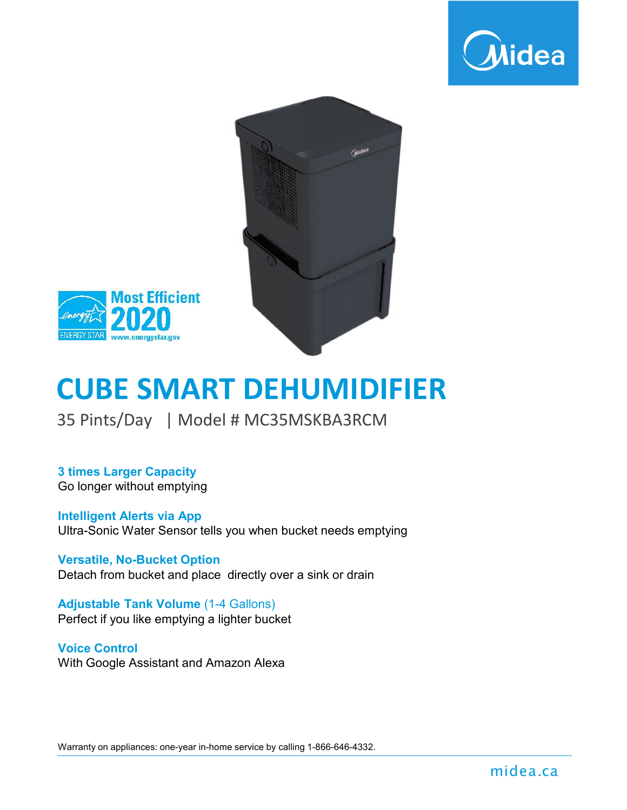





# **CUBE SMART DEHUMIDIFIER**

35 Pints/Day | Model # MC35MSKBA3RCM

**3 times Larger Capacity** Go longer without emptying

**Intelligent Alerts via App** Ultra-Sonic Water Sensor tells you when bucket needs emptying

**Versatile, No-Bucket Option** Detach from bucket and place directly over a sink or drain

**Adjustable Tank Volume** (1-4 Gallons) Perfect if you like emptying a lighter bucket

#### **Voice Control**

With Google Assistant and Amazon Alexa

Warranty on appliances: one-year in-home service by calling 1-866-646-4332.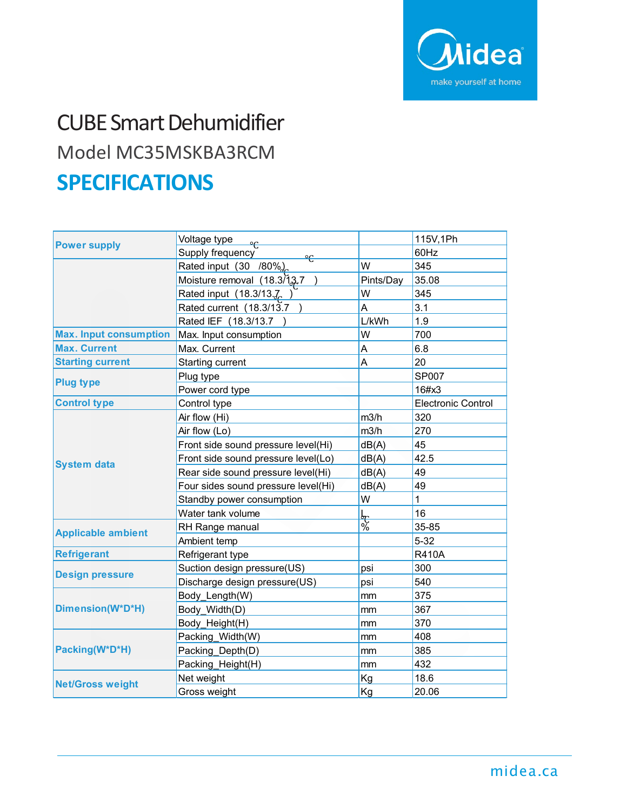

## CUBE Smart Dehumidifier Model MC35MSKBA3RCM **SPECIFICATIONS**

| <b>Power supply</b>           | Voltage type                        |           | 115V, 1Ph                 |
|-------------------------------|-------------------------------------|-----------|---------------------------|
|                               | Supply frequency<br>$^{\circ}$      |           | 60Hz                      |
|                               | Rated input (30 /80%)               | W         | 345                       |
|                               | Moisture removal (18.3/13.7         | Pints/Day | 35.08                     |
|                               | Rated input (18.3/13.7              | W         | 345                       |
|                               | Rated current (18.3/13.7            | A         | 3.1                       |
|                               | Rated IEF (18.3/13.7                | L/kWh     | 1.9                       |
| <b>Max. Input consumption</b> | Max. Input consumption              | W         | 700                       |
| <b>Max. Current</b>           | Max. Current                        | A         | 6.8                       |
| <b>Starting current</b>       | Starting current                    | A         | 20                        |
| <b>Plug type</b>              | Plug type                           |           | SP007                     |
|                               | Power cord type                     |           | 16#x3                     |
| <b>Control type</b>           | Control type                        |           | <b>Electronic Control</b> |
| <b>System data</b>            | Air flow (Hi)                       | m3/h      | 320                       |
|                               | Air flow (Lo)                       | m3/h      | 270                       |
|                               | Front side sound pressure level(Hi) | dB(A)     | 45                        |
|                               | Front side sound pressure level(Lo) | dB(A)     | 42.5                      |
|                               | Rear side sound pressure level(Hi)  | dB(A)     | 49                        |
|                               | Four sides sound pressure level(Hi) | dB(A)     | 49                        |
|                               | Standby power consumption           | W         | $\mathbf 1$               |
|                               | Water tank volume                   |           | 16                        |
| <b>Applicable ambient</b>     | RH Range manual                     | - 5<br>%  | 35-85                     |
|                               | Ambient temp                        |           | $5 - 32$                  |
| <b>Refrigerant</b>            | Refrigerant type                    |           | <b>R410A</b>              |
| <b>Design pressure</b>        | Suction design pressure(US)         | psi       | 300                       |
|                               | Discharge design pressure(US)       | psi       | 540                       |
| Dimension(W*D*H)              | Body_Length(W)                      | mm        | 375                       |
|                               | Body Width(D)                       | mm        | 367                       |
|                               | Body_Height(H)                      | mm        | 370                       |
| Packing(W*D*H)                | Packing Width(W)                    | mm        | 408                       |
|                               | Packing Depth(D)                    | mm        | 385                       |
|                               | Packing_Height(H)                   | mm        | 432                       |
| <b>Net/Gross weight</b>       | Net weight                          | Kg        | 18.6                      |
|                               | Gross weight                        | Kg        | 20.06                     |